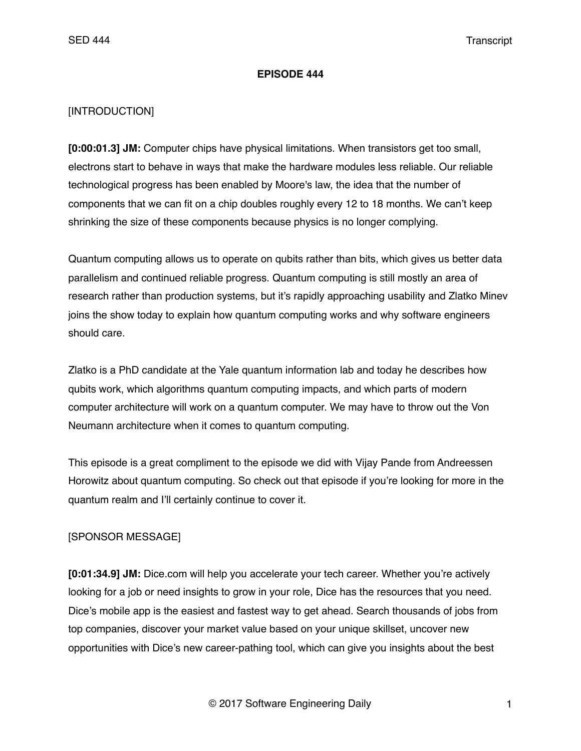#### **EPISODE 444**

### [INTRODUCTION]

**[0:00:01.3] JM:** Computer chips have physical limitations. When transistors get too small, electrons start to behave in ways that make the hardware modules less reliable. Our reliable technological progress has been enabled by Moore's law, the idea that the number of components that we can fit on a chip doubles roughly every 12 to 18 months. We can't keep shrinking the size of these components because physics is no longer complying.

Quantum computing allows us to operate on qubits rather than bits, which gives us better data parallelism and continued reliable progress. Quantum computing is still mostly an area of research rather than production systems, but it's rapidly approaching usability and Zlatko Minev joins the show today to explain how quantum computing works and why software engineers should care.

Zlatko is a PhD candidate at the Yale quantum information lab and today he describes how qubits work, which algorithms quantum computing impacts, and which parts of modern computer architecture will work on a quantum computer. We may have to throw out the Von Neumann architecture when it comes to quantum computing.

This episode is a great compliment to the episode we did with Vijay Pande from Andreessen Horowitz about quantum computing. So check out that episode if you're looking for more in the quantum realm and I'll certainly continue to cover it.

# [SPONSOR MESSAGE]

**[0:01:34.9] JM:** Dice.com will help you accelerate your tech career. Whether you're actively looking for a job or need insights to grow in your role, Dice has the resources that you need. Dice's mobile app is the easiest and fastest way to get ahead. Search thousands of jobs from top companies, discover your market value based on your unique skillset, uncover new opportunities with Dice's new career-pathing tool, which can give you insights about the best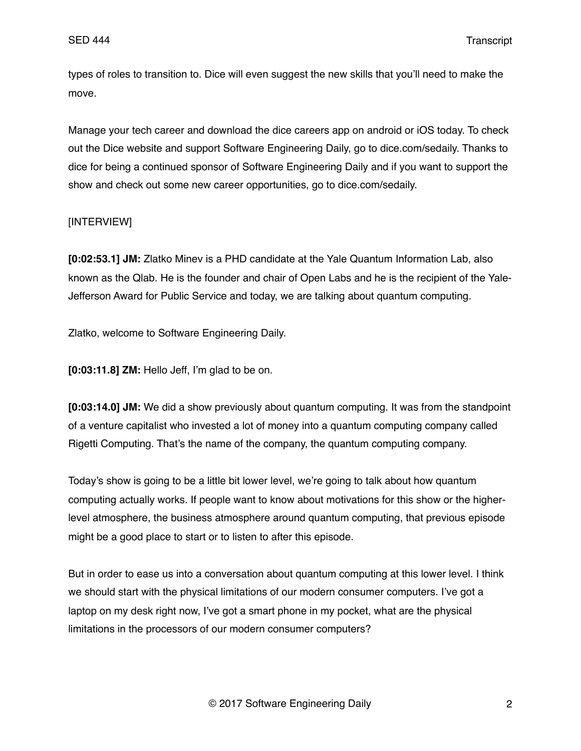types of roles to transition to. Dice will even suggest the new skills that you'll need to make the move.

Manage your tech career and download the dice careers app on android or iOS today. To check out the Dice website and support Software Engineering Daily, go to dice.com/sedaily. Thanks to dice for being a continued sponsor of Software Engineering Daily and if you want to support the show and check out some new career opportunities, go to dice.com/sedaily.

## [INTERVIEW]

**[0:02:53.1] JM:** Zlatko Minev is a PHD candidate at the Yale Quantum Information Lab, also known as the Qlab. He is the founder and chair of Open Labs and he is the recipient of the Yale-Jefferson Award for Public Service and today, we are talking about quantum computing.

Zlatko, welcome to Software Engineering Daily.

**[0:03:11.8] ZM:** Hello Jeff, I'm glad to be on.

**[0:03:14.0] JM:** We did a show previously about quantum computing. It was from the standpoint of a venture capitalist who invested a lot of money into a quantum computing company called Rigetti Computing. That's the name of the company, the quantum computing company.

Today's show is going to be a little bit lower level, we're going to talk about how quantum computing actually works. If people want to know about motivations for this show or the higherlevel atmosphere, the business atmosphere around quantum computing, that previous episode might be a good place to start or to listen to after this episode.

But in order to ease us into a conversation about quantum computing at this lower level. I think we should start with the physical limitations of our modern consumer computers. I've got a laptop on my desk right now, I've got a smart phone in my pocket, what are the physical limitations in the processors of our modern consumer computers?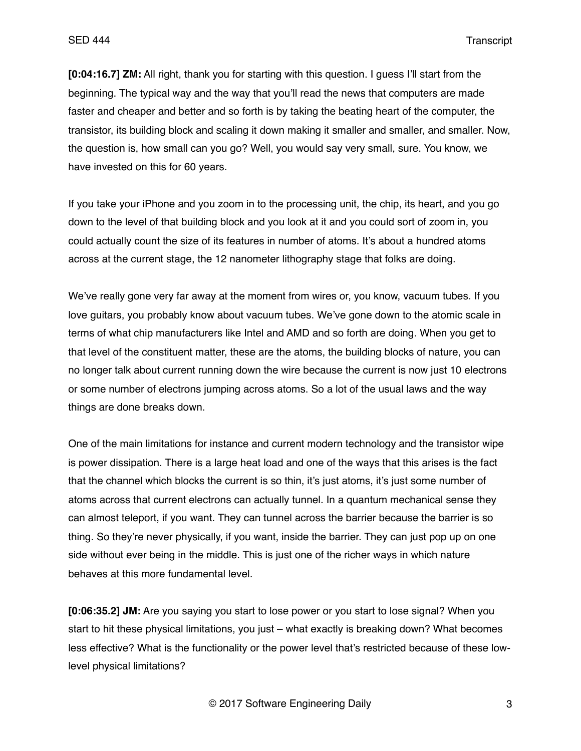**[0:04:16.7] ZM:** All right, thank you for starting with this question. I guess I'll start from the beginning. The typical way and the way that you'll read the news that computers are made faster and cheaper and better and so forth is by taking the beating heart of the computer, the transistor, its building block and scaling it down making it smaller and smaller, and smaller. Now, the question is, how small can you go? Well, you would say very small, sure. You know, we have invested on this for 60 years.

If you take your iPhone and you zoom in to the processing unit, the chip, its heart, and you go down to the level of that building block and you look at it and you could sort of zoom in, you could actually count the size of its features in number of atoms. It's about a hundred atoms across at the current stage, the 12 nanometer lithography stage that folks are doing.

We've really gone very far away at the moment from wires or, you know, vacuum tubes. If you love guitars, you probably know about vacuum tubes. We've gone down to the atomic scale in terms of what chip manufacturers like Intel and AMD and so forth are doing. When you get to that level of the constituent matter, these are the atoms, the building blocks of nature, you can no longer talk about current running down the wire because the current is now just 10 electrons or some number of electrons jumping across atoms. So a lot of the usual laws and the way things are done breaks down.

One of the main limitations for instance and current modern technology and the transistor wipe is power dissipation. There is a large heat load and one of the ways that this arises is the fact that the channel which blocks the current is so thin, it's just atoms, it's just some number of atoms across that current electrons can actually tunnel. In a quantum mechanical sense they can almost teleport, if you want. They can tunnel across the barrier because the barrier is so thing. So they're never physically, if you want, inside the barrier. They can just pop up on one side without ever being in the middle. This is just one of the richer ways in which nature behaves at this more fundamental level.

**[0:06:35.2] JM:** Are you saying you start to lose power or you start to lose signal? When you start to hit these physical limitations, you just – what exactly is breaking down? What becomes less effective? What is the functionality or the power level that's restricted because of these lowlevel physical limitations?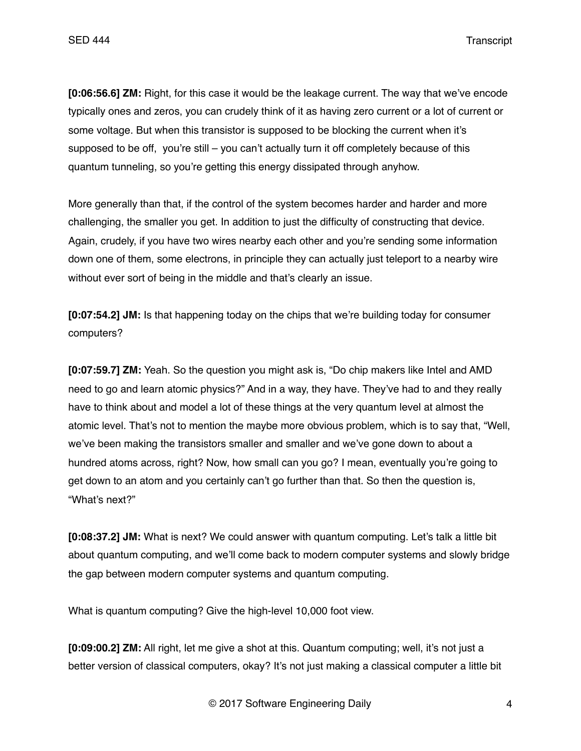**[0:06:56.6] ZM:** Right, for this case it would be the leakage current. The way that we've encode typically ones and zeros, you can crudely think of it as having zero current or a lot of current or some voltage. But when this transistor is supposed to be blocking the current when it's supposed to be off, you're still  $-$  you can't actually turn it off completely because of this quantum tunneling, so you're getting this energy dissipated through anyhow.

More generally than that, if the control of the system becomes harder and harder and more challenging, the smaller you get. In addition to just the difficulty of constructing that device. Again, crudely, if you have two wires nearby each other and you're sending some information down one of them, some electrons, in principle they can actually just teleport to a nearby wire without ever sort of being in the middle and that's clearly an issue.

**[0:07:54.2] JM:** Is that happening today on the chips that we're building today for consumer computers?

**[0:07:59.7] ZM:** Yeah. So the question you might ask is, "Do chip makers like Intel and AMD need to go and learn atomic physics?" And in a way, they have. They've had to and they really have to think about and model a lot of these things at the very quantum level at almost the atomic level. That's not to mention the maybe more obvious problem, which is to say that, "Well, we've been making the transistors smaller and smaller and we've gone down to about a hundred atoms across, right? Now, how small can you go? I mean, eventually you're going to get down to an atom and you certainly can't go further than that. So then the question is, "What's next?"

**[0:08:37.2] JM:** What is next? We could answer with quantum computing. Let's talk a little bit about quantum computing, and we'll come back to modern computer systems and slowly bridge the gap between modern computer systems and quantum computing.

What is quantum computing? Give the high-level 10,000 foot view.

**[0:09:00.2] ZM:** All right, let me give a shot at this. Quantum computing; well, it's not just a better version of classical computers, okay? It's not just making a classical computer a little bit

© 2017 Software Engineering Daily 4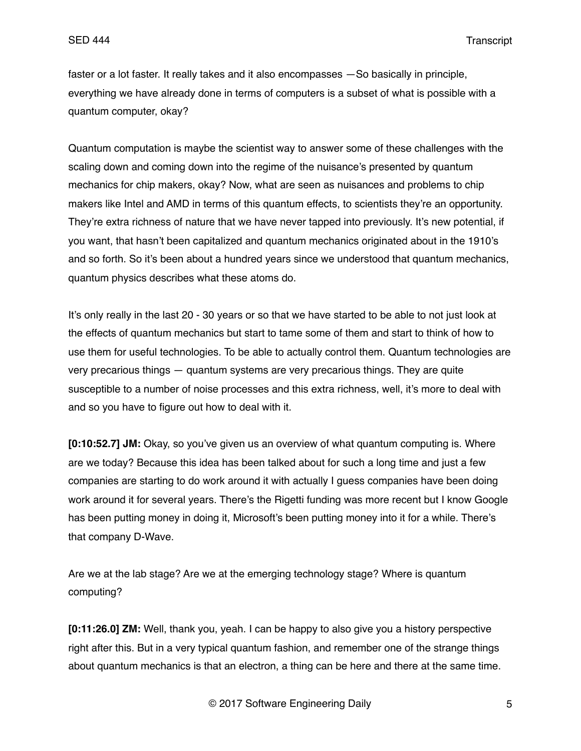faster or a lot faster. It really takes and it also encompasses —So basically in principle, everything we have already done in terms of computers is a subset of what is possible with a quantum computer, okay?

Quantum computation is maybe the scientist way to answer some of these challenges with the scaling down and coming down into the regime of the nuisance's presented by quantum mechanics for chip makers, okay? Now, what are seen as nuisances and problems to chip makers like Intel and AMD in terms of this quantum effects, to scientists they're an opportunity. They're extra richness of nature that we have never tapped into previously. It's new potential, if you want, that hasn't been capitalized and quantum mechanics originated about in the 1910's and so forth. So it's been about a hundred years since we understood that quantum mechanics, quantum physics describes what these atoms do.

It's only really in the last 20 - 30 years or so that we have started to be able to not just look at the effects of quantum mechanics but start to tame some of them and start to think of how to use them for useful technologies. To be able to actually control them. Quantum technologies are very precarious things — quantum systems are very precarious things. They are quite susceptible to a number of noise processes and this extra richness, well, it's more to deal with and so you have to figure out how to deal with it.

**[0:10:52.7] JM:** Okay, so you've given us an overview of what quantum computing is. Where are we today? Because this idea has been talked about for such a long time and just a few companies are starting to do work around it with actually I guess companies have been doing work around it for several years. There's the Rigetti funding was more recent but I know Google has been putting money in doing it, Microsoft's been putting money into it for a while. There's that company D-Wave.

Are we at the lab stage? Are we at the emerging technology stage? Where is quantum computing?

**[0:11:26.0] ZM:** Well, thank you, yeah. I can be happy to also give you a history perspective right after this. But in a very typical quantum fashion, and remember one of the strange things about quantum mechanics is that an electron, a thing can be here and there at the same time.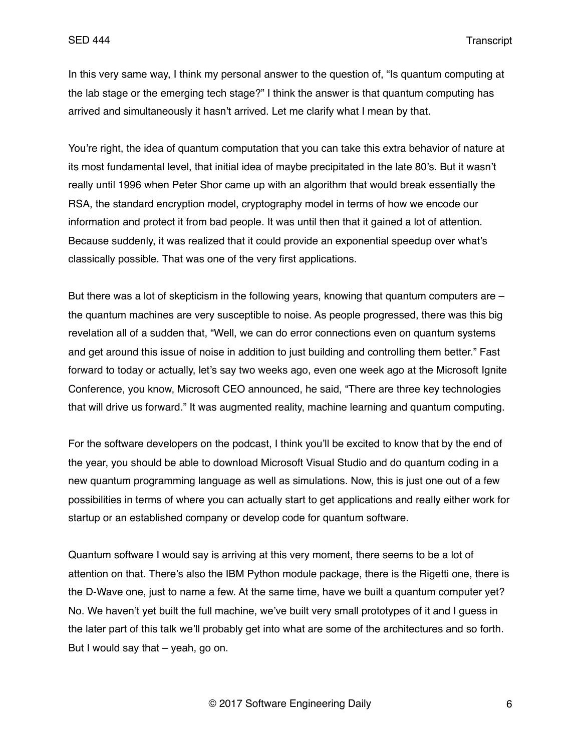In this very same way, I think my personal answer to the question of, "Is quantum computing at the lab stage or the emerging tech stage?" I think the answer is that quantum computing has arrived and simultaneously it hasn't arrived. Let me clarify what I mean by that.

You're right, the idea of quantum computation that you can take this extra behavior of nature at its most fundamental level, that initial idea of maybe precipitated in the late 80's. But it wasn't really until 1996 when Peter Shor came up with an algorithm that would break essentially the RSA, the standard encryption model, cryptography model in terms of how we encode our information and protect it from bad people. It was until then that it gained a lot of attention. Because suddenly, it was realized that it could provide an exponential speedup over what's classically possible. That was one of the very first applications.

But there was a lot of skepticism in the following years, knowing that quantum computers are – the quantum machines are very susceptible to noise. As people progressed, there was this big revelation all of a sudden that, "Well, we can do error connections even on quantum systems and get around this issue of noise in addition to just building and controlling them better." Fast forward to today or actually, let's say two weeks ago, even one week ago at the Microsoft Ignite Conference, you know, Microsoft CEO announced, he said, "There are three key technologies that will drive us forward." It was augmented reality, machine learning and quantum computing.

For the software developers on the podcast, I think you'll be excited to know that by the end of the year, you should be able to download Microsoft Visual Studio and do quantum coding in a new quantum programming language as well as simulations. Now, this is just one out of a few possibilities in terms of where you can actually start to get applications and really either work for startup or an established company or develop code for quantum software.

Quantum software I would say is arriving at this very moment, there seems to be a lot of attention on that. There's also the IBM Python module package, there is the Rigetti one, there is the D-Wave one, just to name a few. At the same time, have we built a quantum computer yet? No. We haven't yet built the full machine, we've built very small prototypes of it and I guess in the later part of this talk we'll probably get into what are some of the architectures and so forth. But I would say that  $-$  yeah, go on.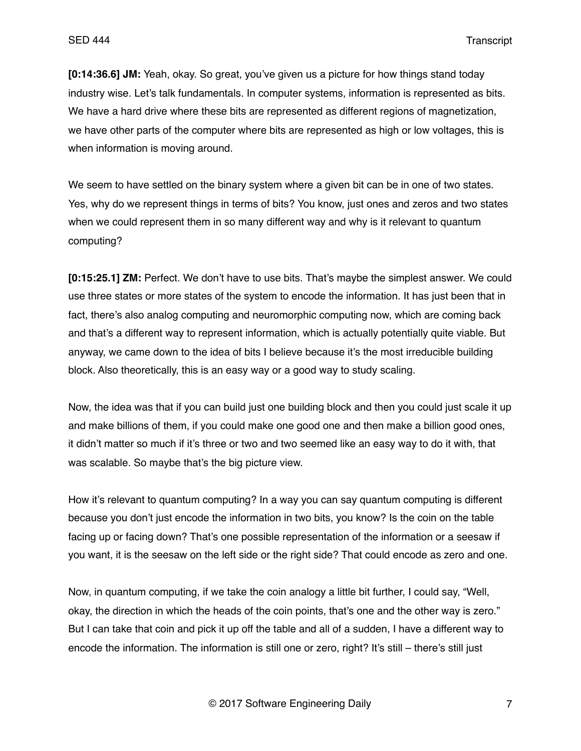**[0:14:36.6] JM:** Yeah, okay. So great, you've given us a picture for how things stand today industry wise. Let's talk fundamentals. In computer systems, information is represented as bits. We have a hard drive where these bits are represented as different regions of magnetization, we have other parts of the computer where bits are represented as high or low voltages, this is when information is moving around.

We seem to have settled on the binary system where a given bit can be in one of two states. Yes, why do we represent things in terms of bits? You know, just ones and zeros and two states when we could represent them in so many different way and why is it relevant to quantum computing?

**[0:15:25.1] ZM:** Perfect. We don't have to use bits. That's maybe the simplest answer. We could use three states or more states of the system to encode the information. It has just been that in fact, there's also analog computing and neuromorphic computing now, which are coming back and that's a different way to represent information, which is actually potentially quite viable. But anyway, we came down to the idea of bits I believe because it's the most irreducible building block. Also theoretically, this is an easy way or a good way to study scaling.

Now, the idea was that if you can build just one building block and then you could just scale it up and make billions of them, if you could make one good one and then make a billion good ones, it didn't matter so much if it's three or two and two seemed like an easy way to do it with, that was scalable. So maybe that's the big picture view.

How it's relevant to quantum computing? In a way you can say quantum computing is different because you don't just encode the information in two bits, you know? Is the coin on the table facing up or facing down? That's one possible representation of the information or a seesaw if you want, it is the seesaw on the left side or the right side? That could encode as zero and one.

Now, in quantum computing, if we take the coin analogy a little bit further, I could say, "Well, okay, the direction in which the heads of the coin points, that's one and the other way is zero." But I can take that coin and pick it up off the table and all of a sudden, I have a different way to encode the information. The information is still one or zero, right? It's still – there's still just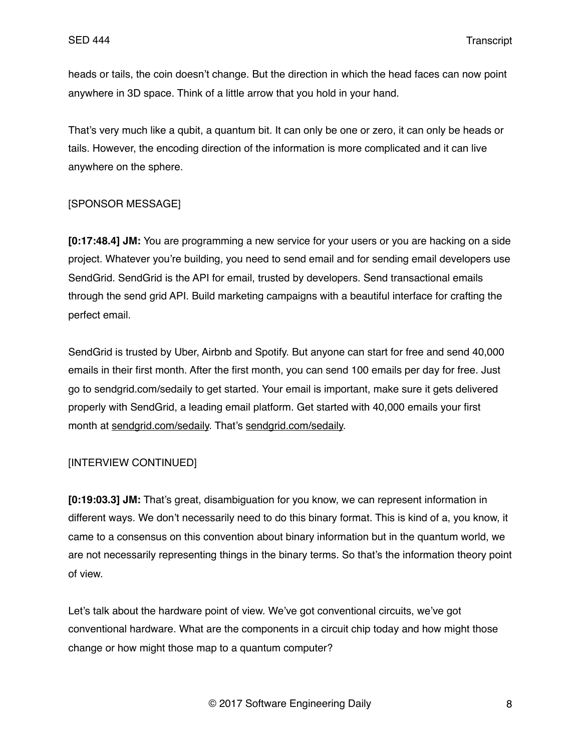heads or tails, the coin doesn't change. But the direction in which the head faces can now point anywhere in 3D space. Think of a little arrow that you hold in your hand.

That's very much like a qubit, a quantum bit. It can only be one or zero, it can only be heads or tails. However, the encoding direction of the information is more complicated and it can live anywhere on the sphere.

## [SPONSOR MESSAGE]

**[0:17:48.4] JM:** You are programming a new service for your users or you are hacking on a side project. Whatever you're building, you need to send email and for sending email developers use SendGrid. SendGrid is the API for email, trusted by developers. Send transactional emails through the send grid API. Build marketing campaigns with a beautiful interface for crafting the perfect email.

SendGrid is trusted by Uber, Airbnb and Spotify. But anyone can start for free and send 40,000 emails in their first month. After the first month, you can send 100 emails per day for free. Just go to sendgrid.com/sedaily to get started. Your email is important, make sure it gets delivered properly with SendGrid, a leading email platform. Get started with 40,000 emails your first month at [sendgrid.com/sedaily.](http://sendgrid.com/sedaily) That's [sendgrid.com/sedaily.](http://sendgrid.com/sedaily)

### [INTERVIEW CONTINUED]

**[0:19:03.3] JM:** That's great, disambiguation for you know, we can represent information in different ways. We don't necessarily need to do this binary format. This is kind of a, you know, it came to a consensus on this convention about binary information but in the quantum world, we are not necessarily representing things in the binary terms. So that's the information theory point of view.

Let's talk about the hardware point of view. We've got conventional circuits, we've got conventional hardware. What are the components in a circuit chip today and how might those change or how might those map to a quantum computer?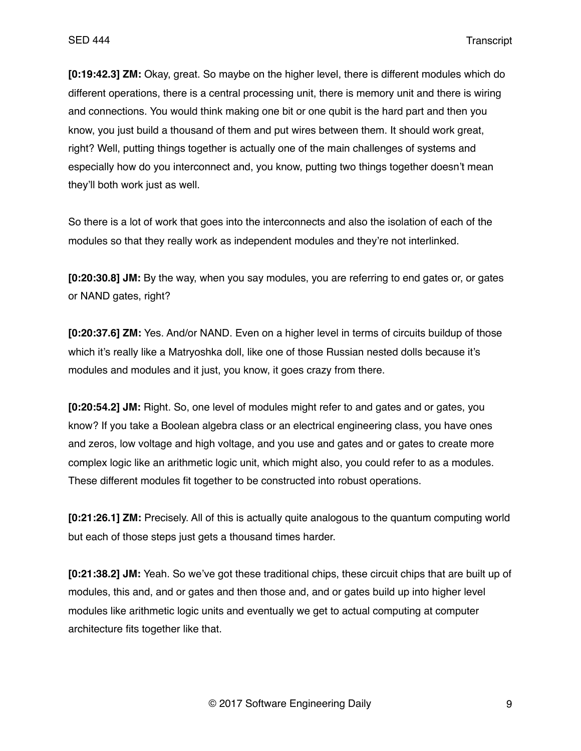**[0:19:42.3] ZM:** Okay, great. So maybe on the higher level, there is different modules which do different operations, there is a central processing unit, there is memory unit and there is wiring and connections. You would think making one bit or one qubit is the hard part and then you know, you just build a thousand of them and put wires between them. It should work great, right? Well, putting things together is actually one of the main challenges of systems and especially how do you interconnect and, you know, putting two things together doesn't mean they'll both work just as well.

So there is a lot of work that goes into the interconnects and also the isolation of each of the modules so that they really work as independent modules and they're not interlinked.

**[0:20:30.8] JM:** By the way, when you say modules, you are referring to end gates or, or gates or NAND gates, right?

**[0:20:37.6] ZM:** Yes. And/or NAND. Even on a higher level in terms of circuits buildup of those which it's really like a Matryoshka doll, like one of those Russian nested dolls because it's modules and modules and it just, you know, it goes crazy from there.

**[0:20:54.2] JM:** Right. So, one level of modules might refer to and gates and or gates, you know? If you take a Boolean algebra class or an electrical engineering class, you have ones and zeros, low voltage and high voltage, and you use and gates and or gates to create more complex logic like an arithmetic logic unit, which might also, you could refer to as a modules. These different modules fit together to be constructed into robust operations.

**[0:21:26.1] ZM:** Precisely. All of this is actually quite analogous to the quantum computing world but each of those steps just gets a thousand times harder.

**[0:21:38.2] JM:** Yeah. So we've got these traditional chips, these circuit chips that are built up of modules, this and, and or gates and then those and, and or gates build up into higher level modules like arithmetic logic units and eventually we get to actual computing at computer architecture fits together like that.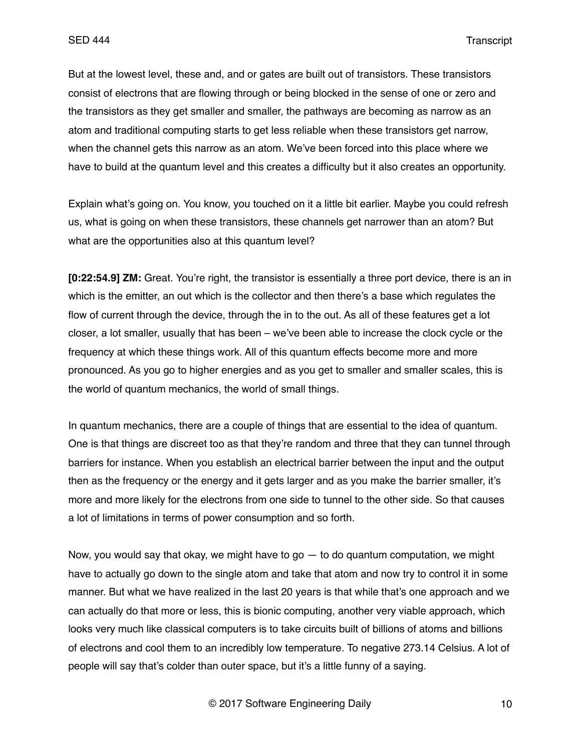But at the lowest level, these and, and or gates are built out of transistors. These transistors consist of electrons that are flowing through or being blocked in the sense of one or zero and the transistors as they get smaller and smaller, the pathways are becoming as narrow as an atom and traditional computing starts to get less reliable when these transistors get narrow, when the channel gets this narrow as an atom. We've been forced into this place where we have to build at the quantum level and this creates a difficulty but it also creates an opportunity.

Explain what's going on. You know, you touched on it a little bit earlier. Maybe you could refresh us, what is going on when these transistors, these channels get narrower than an atom? But what are the opportunities also at this quantum level?

**[0:22:54.9] ZM:** Great. You're right, the transistor is essentially a three port device, there is an in which is the emitter, an out which is the collector and then there's a base which regulates the flow of current through the device, through the in to the out. As all of these features get a lot closer, a lot smaller, usually that has been – we've been able to increase the clock cycle or the frequency at which these things work. All of this quantum effects become more and more pronounced. As you go to higher energies and as you get to smaller and smaller scales, this is the world of quantum mechanics, the world of small things.

In quantum mechanics, there are a couple of things that are essential to the idea of quantum. One is that things are discreet too as that they're random and three that they can tunnel through barriers for instance. When you establish an electrical barrier between the input and the output then as the frequency or the energy and it gets larger and as you make the barrier smaller, it's more and more likely for the electrons from one side to tunnel to the other side. So that causes a lot of limitations in terms of power consumption and so forth.

Now, you would say that okay, we might have to go  $-$  to do quantum computation, we might have to actually go down to the single atom and take that atom and now try to control it in some manner. But what we have realized in the last 20 years is that while that's one approach and we can actually do that more or less, this is bionic computing, another very viable approach, which looks very much like classical computers is to take circuits built of billions of atoms and billions of electrons and cool them to an incredibly low temperature. To negative 273.14 Celsius. A lot of people will say that's colder than outer space, but it's a little funny of a saying.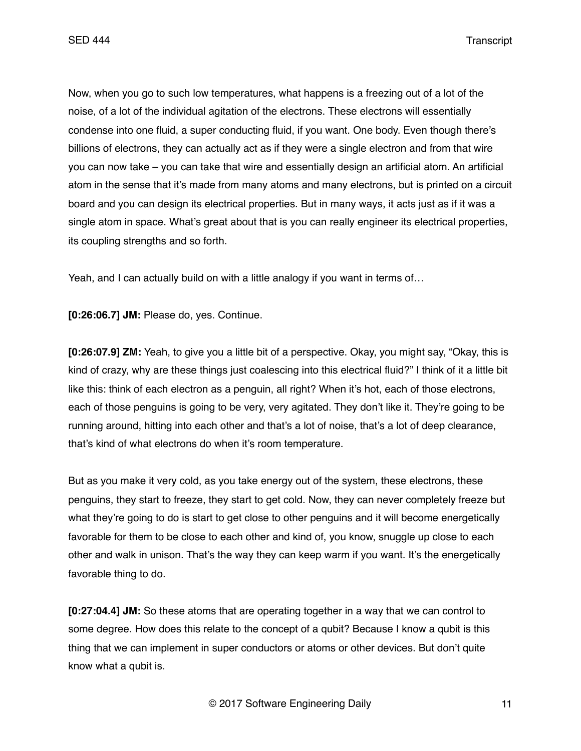Now, when you go to such low temperatures, what happens is a freezing out of a lot of the noise, of a lot of the individual agitation of the electrons. These electrons will essentially condense into one fluid, a super conducting fluid, if you want. One body. Even though there's billions of electrons, they can actually act as if they were a single electron and from that wire you can now take – you can take that wire and essentially design an artificial atom. An artificial atom in the sense that it's made from many atoms and many electrons, but is printed on a circuit board and you can design its electrical properties. But in many ways, it acts just as if it was a single atom in space. What's great about that is you can really engineer its electrical properties, its coupling strengths and so forth.

Yeah, and I can actually build on with a little analogy if you want in terms of…

**[0:26:06.7] JM:** Please do, yes. Continue.

**[0:26:07.9] ZM:** Yeah, to give you a little bit of a perspective. Okay, you might say, "Okay, this is kind of crazy, why are these things just coalescing into this electrical fluid?" I think of it a little bit like this: think of each electron as a penguin, all right? When it's hot, each of those electrons, each of those penguins is going to be very, very agitated. They don't like it. They're going to be running around, hitting into each other and that's a lot of noise, that's a lot of deep clearance, that's kind of what electrons do when it's room temperature.

But as you make it very cold, as you take energy out of the system, these electrons, these penguins, they start to freeze, they start to get cold. Now, they can never completely freeze but what they're going to do is start to get close to other penguins and it will become energetically favorable for them to be close to each other and kind of, you know, snuggle up close to each other and walk in unison. That's the way they can keep warm if you want. It's the energetically favorable thing to do.

**[0:27:04.4] JM:** So these atoms that are operating together in a way that we can control to some degree. How does this relate to the concept of a qubit? Because I know a qubit is this thing that we can implement in super conductors or atoms or other devices. But don't quite know what a qubit is.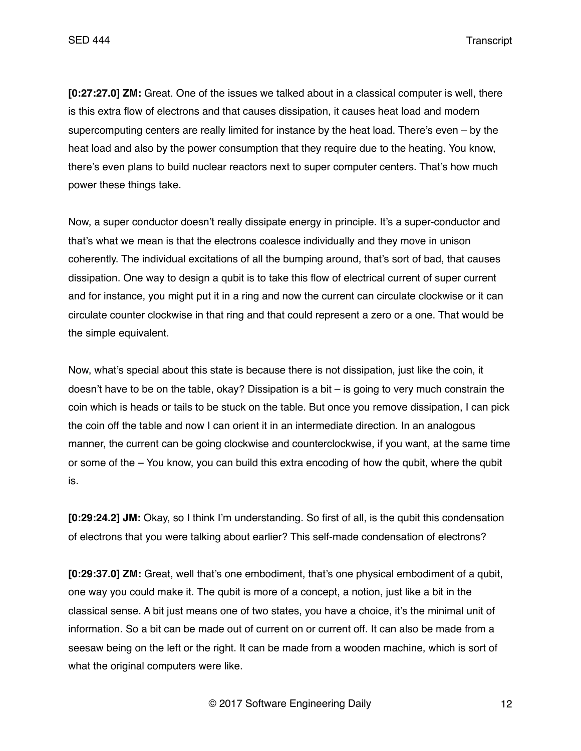**[0:27:27.0] ZM:** Great. One of the issues we talked about in a classical computer is well, there is this extra flow of electrons and that causes dissipation, it causes heat load and modern supercomputing centers are really limited for instance by the heat load. There's even – by the heat load and also by the power consumption that they require due to the heating. You know, there's even plans to build nuclear reactors next to super computer centers. That's how much power these things take.

Now, a super conductor doesn't really dissipate energy in principle. It's a super-conductor and that's what we mean is that the electrons coalesce individually and they move in unison coherently. The individual excitations of all the bumping around, that's sort of bad, that causes dissipation. One way to design a qubit is to take this flow of electrical current of super current and for instance, you might put it in a ring and now the current can circulate clockwise or it can circulate counter clockwise in that ring and that could represent a zero or a one. That would be the simple equivalent.

Now, what's special about this state is because there is not dissipation, just like the coin, it doesn't have to be on the table, okay? Dissipation is a bit – is going to very much constrain the coin which is heads or tails to be stuck on the table. But once you remove dissipation, I can pick the coin off the table and now I can orient it in an intermediate direction. In an analogous manner, the current can be going clockwise and counterclockwise, if you want, at the same time or some of the – You know, you can build this extra encoding of how the qubit, where the qubit is.

**[0:29:24.2] JM:** Okay, so I think I'm understanding. So first of all, is the qubit this condensation of electrons that you were talking about earlier? This self-made condensation of electrons?

**[0:29:37.0] ZM:** Great, well that's one embodiment, that's one physical embodiment of a qubit, one way you could make it. The qubit is more of a concept, a notion, just like a bit in the classical sense. A bit just means one of two states, you have a choice, it's the minimal unit of information. So a bit can be made out of current on or current off. It can also be made from a seesaw being on the left or the right. It can be made from a wooden machine, which is sort of what the original computers were like.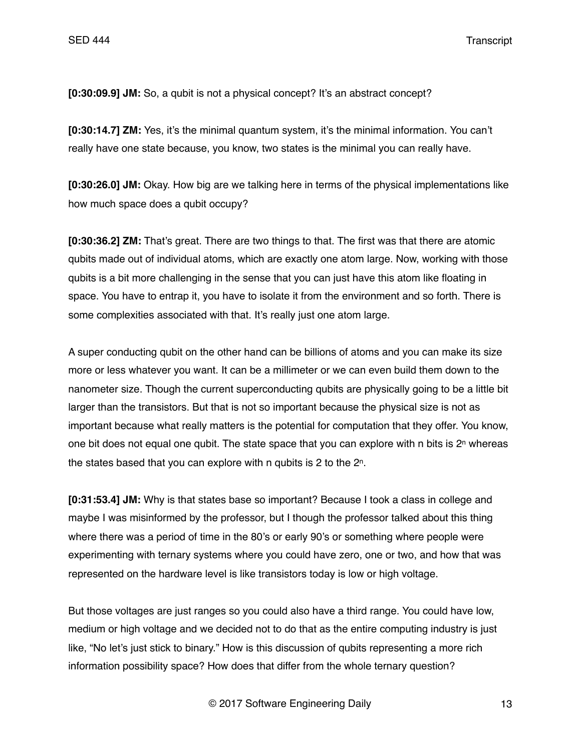**[0:30:09.9] JM:** So, a qubit is not a physical concept? It's an abstract concept?

**[0:30:14.7] ZM:** Yes, it's the minimal quantum system, it's the minimal information. You can't really have one state because, you know, two states is the minimal you can really have.

**[0:30:26.0] JM:** Okay. How big are we talking here in terms of the physical implementations like how much space does a qubit occupy?

**[0:30:36.2] ZM:** That's great. There are two things to that. The first was that there are atomic qubits made out of individual atoms, which are exactly one atom large. Now, working with those qubits is a bit more challenging in the sense that you can just have this atom like floating in space. You have to entrap it, you have to isolate it from the environment and so forth. There is some complexities associated with that. It's really just one atom large.

A super conducting qubit on the other hand can be billions of atoms and you can make its size more or less whatever you want. It can be a millimeter or we can even build them down to the nanometer size. Though the current superconducting qubits are physically going to be a little bit larger than the transistors. But that is not so important because the physical size is not as important because what really matters is the potential for computation that they offer. You know, one bit does not equal one qubit. The state space that you can explore with n bits is  $2<sup>n</sup>$  whereas the states based that you can explore with n qubits is 2 to the 2n.

**[0:31:53.4] JM:** Why is that states base so important? Because I took a class in college and maybe I was misinformed by the professor, but I though the professor talked about this thing where there was a period of time in the 80's or early 90's or something where people were experimenting with ternary systems where you could have zero, one or two, and how that was represented on the hardware level is like transistors today is low or high voltage.

But those voltages are just ranges so you could also have a third range. You could have low, medium or high voltage and we decided not to do that as the entire computing industry is just like, "No let's just stick to binary." How is this discussion of qubits representing a more rich information possibility space? How does that differ from the whole ternary question?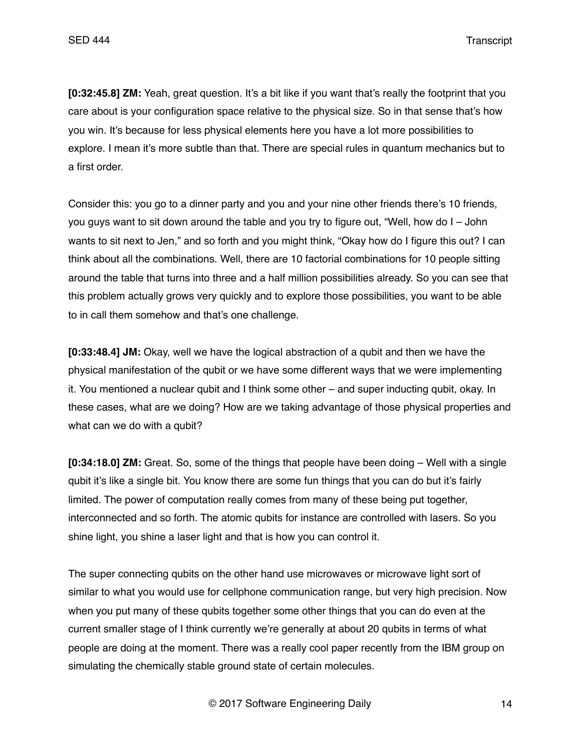**[0:32:45.8] ZM:** Yeah, great question. It's a bit like if you want that's really the footprint that you care about is your configuration space relative to the physical size. So in that sense that's how you win. It's because for less physical elements here you have a lot more possibilities to explore. I mean it's more subtle than that. There are special rules in quantum mechanics but to a first order.

Consider this: you go to a dinner party and you and your nine other friends there's 10 friends, you guys want to sit down around the table and you try to figure out, "Well, how do I – John wants to sit next to Jen," and so forth and you might think, "Okay how do I figure this out? I can think about all the combinations. Well, there are 10 factorial combinations for 10 people sitting around the table that turns into three and a half million possibilities already. So you can see that this problem actually grows very quickly and to explore those possibilities, you want to be able to in call them somehow and that's one challenge.

**[0:33:48.4] JM:** Okay, well we have the logical abstraction of a qubit and then we have the physical manifestation of the qubit or we have some different ways that we were implementing it. You mentioned a nuclear qubit and I think some other – and super inducting qubit, okay. In these cases, what are we doing? How are we taking advantage of those physical properties and what can we do with a qubit?

**[0:34:18.0] ZM:** Great. So, some of the things that people have been doing – Well with a single qubit it's like a single bit. You know there are some fun things that you can do but it's fairly limited. The power of computation really comes from many of these being put together, interconnected and so forth. The atomic qubits for instance are controlled with lasers. So you shine light, you shine a laser light and that is how you can control it.

The super connecting qubits on the other hand use microwaves or microwave light sort of similar to what you would use for cellphone communication range, but very high precision. Now when you put many of these qubits together some other things that you can do even at the current smaller stage of I think currently we're generally at about 20 qubits in terms of what people are doing at the moment. There was a really cool paper recently from the IBM group on simulating the chemically stable ground state of certain molecules.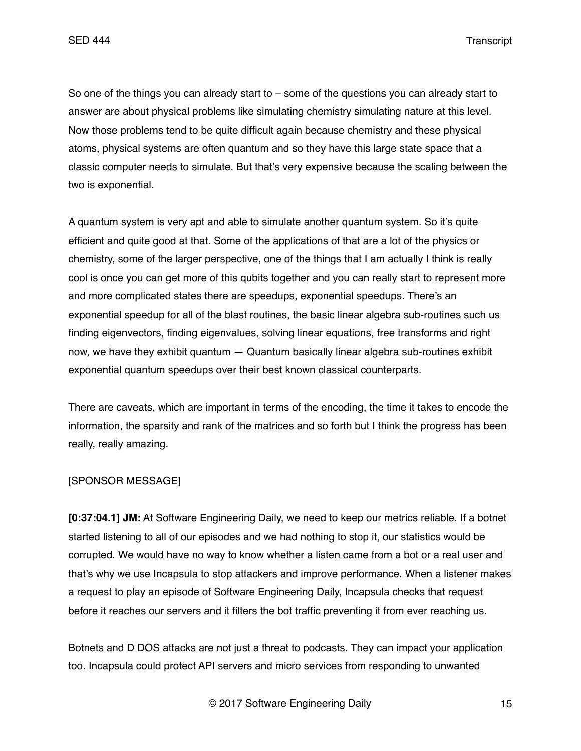So one of the things you can already start to – some of the questions you can already start to answer are about physical problems like simulating chemistry simulating nature at this level. Now those problems tend to be quite difficult again because chemistry and these physical atoms, physical systems are often quantum and so they have this large state space that a classic computer needs to simulate. But that's very expensive because the scaling between the two is exponential.

A quantum system is very apt and able to simulate another quantum system. So it's quite efficient and quite good at that. Some of the applications of that are a lot of the physics or chemistry, some of the larger perspective, one of the things that I am actually I think is really cool is once you can get more of this qubits together and you can really start to represent more and more complicated states there are speedups, exponential speedups. There's an exponential speedup for all of the blast routines, the basic linear algebra sub-routines such us finding eigenvectors, finding eigenvalues, solving linear equations, free transforms and right now, we have they exhibit quantum — Quantum basically linear algebra sub-routines exhibit exponential quantum speedups over their best known classical counterparts.

There are caveats, which are important in terms of the encoding, the time it takes to encode the information, the sparsity and rank of the matrices and so forth but I think the progress has been really, really amazing.

#### [SPONSOR MESSAGE]

**[0:37:04.1] JM:** At Software Engineering Daily, we need to keep our metrics reliable. If a botnet started listening to all of our episodes and we had nothing to stop it, our statistics would be corrupted. We would have no way to know whether a listen came from a bot or a real user and that's why we use Incapsula to stop attackers and improve performance. When a listener makes a request to play an episode of Software Engineering Daily, Incapsula checks that request before it reaches our servers and it filters the bot traffic preventing it from ever reaching us.

Botnets and D DOS attacks are not just a threat to podcasts. They can impact your application too. Incapsula could protect API servers and micro services from responding to unwanted

© 2017 Software Engineering Daily 15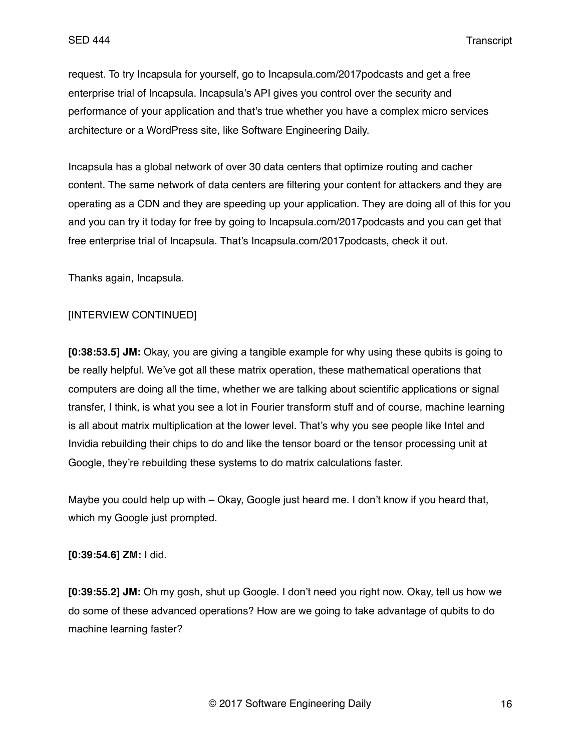request. To try Incapsula for yourself, go to Incapsula.com/2017podcasts and get a free enterprise trial of Incapsula. Incapsula's API gives you control over the security and performance of your application and that's true whether you have a complex micro services architecture or a WordPress site, like Software Engineering Daily.

Incapsula has a global network of over 30 data centers that optimize routing and cacher content. The same network of data centers are filtering your content for attackers and they are operating as a CDN and they are speeding up your application. They are doing all of this for you and you can try it today for free by going to Incapsula.com/2017podcasts and you can get that free enterprise trial of Incapsula. That's Incapsula.com/2017podcasts, check it out.

Thanks again, Incapsula.

### [INTERVIEW CONTINUED]

**[0:38:53.5] JM:** Okay, you are giving a tangible example for why using these qubits is going to be really helpful. We've got all these matrix operation, these mathematical operations that computers are doing all the time, whether we are talking about scientific applications or signal transfer, I think, is what you see a lot in Fourier transform stuff and of course, machine learning is all about matrix multiplication at the lower level. That's why you see people like Intel and Invidia rebuilding their chips to do and like the tensor board or the tensor processing unit at Google, they're rebuilding these systems to do matrix calculations faster.

Maybe you could help up with – Okay, Google just heard me. I don't know if you heard that, which my Google just prompted.

### **[0:39:54.6] ZM:** I did.

**[0:39:55.2] JM:** Oh my gosh, shut up Google. I don't need you right now. Okay, tell us how we do some of these advanced operations? How are we going to take advantage of qubits to do machine learning faster?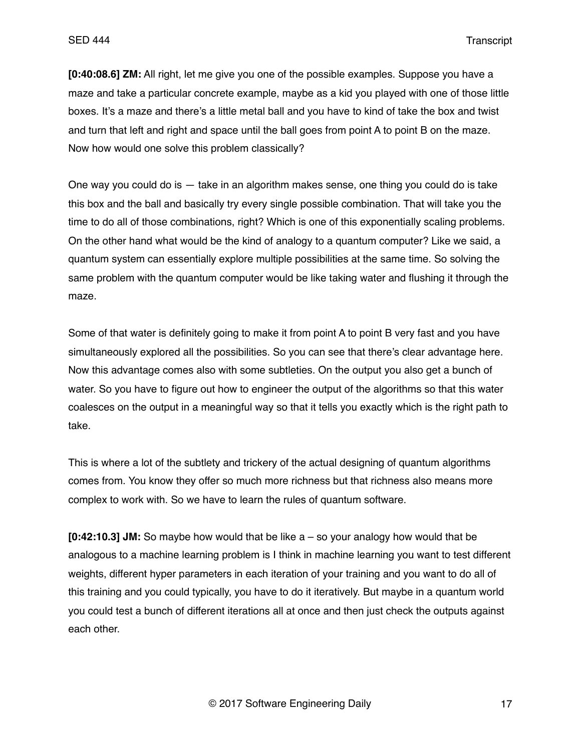**[0:40:08.6] ZM:** All right, let me give you one of the possible examples. Suppose you have a maze and take a particular concrete example, maybe as a kid you played with one of those little boxes. It's a maze and there's a little metal ball and you have to kind of take the box and twist and turn that left and right and space until the ball goes from point A to point B on the maze. Now how would one solve this problem classically?

One way you could do is — take in an algorithm makes sense, one thing you could do is take this box and the ball and basically try every single possible combination. That will take you the time to do all of those combinations, right? Which is one of this exponentially scaling problems. On the other hand what would be the kind of analogy to a quantum computer? Like we said, a quantum system can essentially explore multiple possibilities at the same time. So solving the same problem with the quantum computer would be like taking water and flushing it through the maze.

Some of that water is definitely going to make it from point A to point B very fast and you have simultaneously explored all the possibilities. So you can see that there's clear advantage here. Now this advantage comes also with some subtleties. On the output you also get a bunch of water. So you have to figure out how to engineer the output of the algorithms so that this water coalesces on the output in a meaningful way so that it tells you exactly which is the right path to take.

This is where a lot of the subtlety and trickery of the actual designing of quantum algorithms comes from. You know they offer so much more richness but that richness also means more complex to work with. So we have to learn the rules of quantum software.

**[0:42:10.3] JM:** So maybe how would that be like a – so your analogy how would that be analogous to a machine learning problem is I think in machine learning you want to test different weights, different hyper parameters in each iteration of your training and you want to do all of this training and you could typically, you have to do it iteratively. But maybe in a quantum world you could test a bunch of different iterations all at once and then just check the outputs against each other.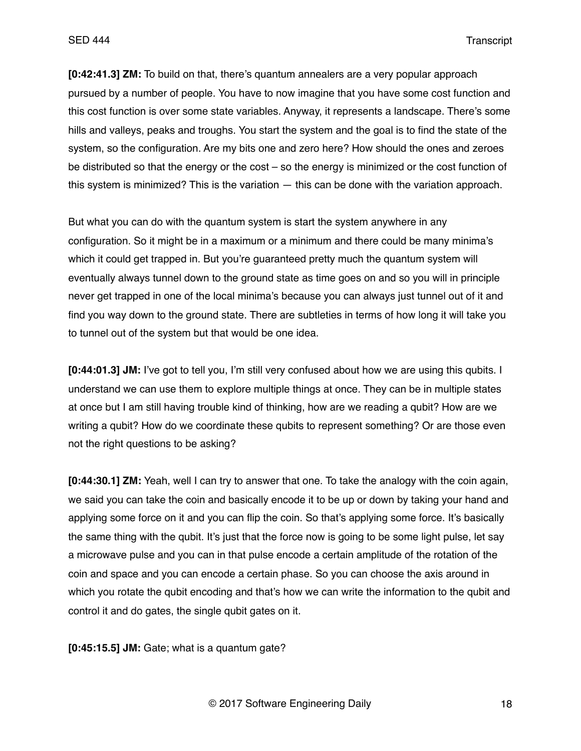**[0:42:41.3] ZM:** To build on that, there's quantum annealers are a very popular approach pursued by a number of people. You have to now imagine that you have some cost function and this cost function is over some state variables. Anyway, it represents a landscape. There's some hills and valleys, peaks and troughs. You start the system and the goal is to find the state of the system, so the configuration. Are my bits one and zero here? How should the ones and zeroes be distributed so that the energy or the cost – so the energy is minimized or the cost function of this system is minimized? This is the variation — this can be done with the variation approach.

But what you can do with the quantum system is start the system anywhere in any configuration. So it might be in a maximum or a minimum and there could be many minima's which it could get trapped in. But you're guaranteed pretty much the quantum system will eventually always tunnel down to the ground state as time goes on and so you will in principle never get trapped in one of the local minima's because you can always just tunnel out of it and find you way down to the ground state. There are subtleties in terms of how long it will take you to tunnel out of the system but that would be one idea.

**[0:44:01.3] JM:** I've got to tell you, I'm still very confused about how we are using this qubits. I understand we can use them to explore multiple things at once. They can be in multiple states at once but I am still having trouble kind of thinking, how are we reading a qubit? How are we writing a qubit? How do we coordinate these qubits to represent something? Or are those even not the right questions to be asking?

**[0:44:30.1] ZM:** Yeah, well I can try to answer that one. To take the analogy with the coin again, we said you can take the coin and basically encode it to be up or down by taking your hand and applying some force on it and you can flip the coin. So that's applying some force. It's basically the same thing with the qubit. It's just that the force now is going to be some light pulse, let say a microwave pulse and you can in that pulse encode a certain amplitude of the rotation of the coin and space and you can encode a certain phase. So you can choose the axis around in which you rotate the qubit encoding and that's how we can write the information to the qubit and control it and do gates, the single qubit gates on it.

**[0:45:15.5] JM:** Gate; what is a quantum gate?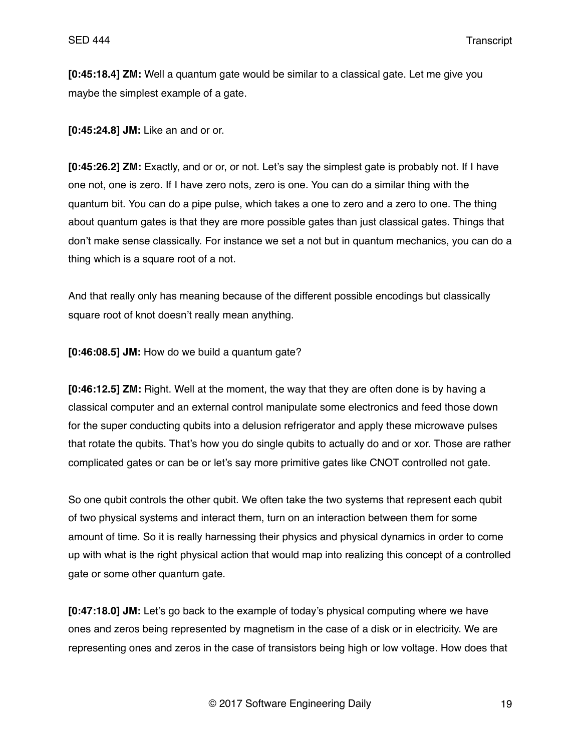**[0:45:18.4] ZM:** Well a quantum gate would be similar to a classical gate. Let me give you maybe the simplest example of a gate.

**[0:45:24.8] JM:** Like an and or or.

**[0:45:26.2] ZM:** Exactly, and or or, or not. Let's say the simplest gate is probably not. If I have one not, one is zero. If I have zero nots, zero is one. You can do a similar thing with the quantum bit. You can do a pipe pulse, which takes a one to zero and a zero to one. The thing about quantum gates is that they are more possible gates than just classical gates. Things that don't make sense classically. For instance we set a not but in quantum mechanics, you can do a thing which is a square root of a not.

And that really only has meaning because of the different possible encodings but classically square root of knot doesn't really mean anything.

**[0:46:08.5] JM:** How do we build a quantum gate?

**[0:46:12.5] ZM:** Right. Well at the moment, the way that they are often done is by having a classical computer and an external control manipulate some electronics and feed those down for the super conducting qubits into a delusion refrigerator and apply these microwave pulses that rotate the qubits. That's how you do single qubits to actually do and or xor. Those are rather complicated gates or can be or let's say more primitive gates like CNOT controlled not gate.

So one qubit controls the other qubit. We often take the two systems that represent each qubit of two physical systems and interact them, turn on an interaction between them for some amount of time. So it is really harnessing their physics and physical dynamics in order to come up with what is the right physical action that would map into realizing this concept of a controlled gate or some other quantum gate.

**[0:47:18.0] JM:** Let's go back to the example of today's physical computing where we have ones and zeros being represented by magnetism in the case of a disk or in electricity. We are representing ones and zeros in the case of transistors being high or low voltage. How does that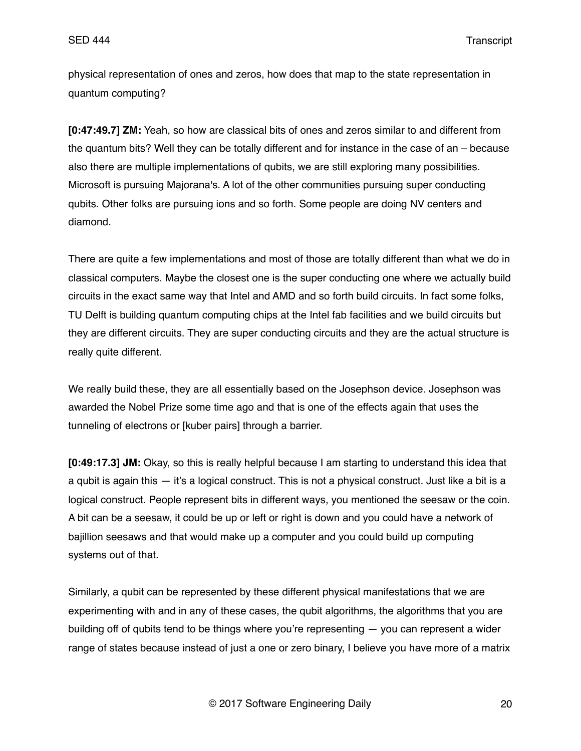physical representation of ones and zeros, how does that map to the state representation in quantum computing?

**[0:47:49.7] ZM:** Yeah, so how are classical bits of ones and zeros similar to and different from the quantum bits? Well they can be totally different and for instance in the case of an – because also there are multiple implementations of qubits, we are still exploring many possibilities. Microsoft is pursuing Majorana's. A lot of the other communities pursuing super conducting qubits. Other folks are pursuing ions and so forth. Some people are doing NV centers and diamond.

There are quite a few implementations and most of those are totally different than what we do in classical computers. Maybe the closest one is the super conducting one where we actually build circuits in the exact same way that Intel and AMD and so forth build circuits. In fact some folks, TU Delft is building quantum computing chips at the Intel fab facilities and we build circuits but they are different circuits. They are super conducting circuits and they are the actual structure is really quite different.

We really build these, they are all essentially based on the Josephson device. Josephson was awarded the Nobel Prize some time ago and that is one of the effects again that uses the tunneling of electrons or [kuber pairs] through a barrier.

**[0:49:17.3] JM:** Okay, so this is really helpful because I am starting to understand this idea that a qubit is again this — it's a logical construct. This is not a physical construct. Just like a bit is a logical construct. People represent bits in different ways, you mentioned the seesaw or the coin. A bit can be a seesaw, it could be up or left or right is down and you could have a network of bajillion seesaws and that would make up a computer and you could build up computing systems out of that.

Similarly, a qubit can be represented by these different physical manifestations that we are experimenting with and in any of these cases, the qubit algorithms, the algorithms that you are building off of qubits tend to be things where you're representing — you can represent a wider range of states because instead of just a one or zero binary, I believe you have more of a matrix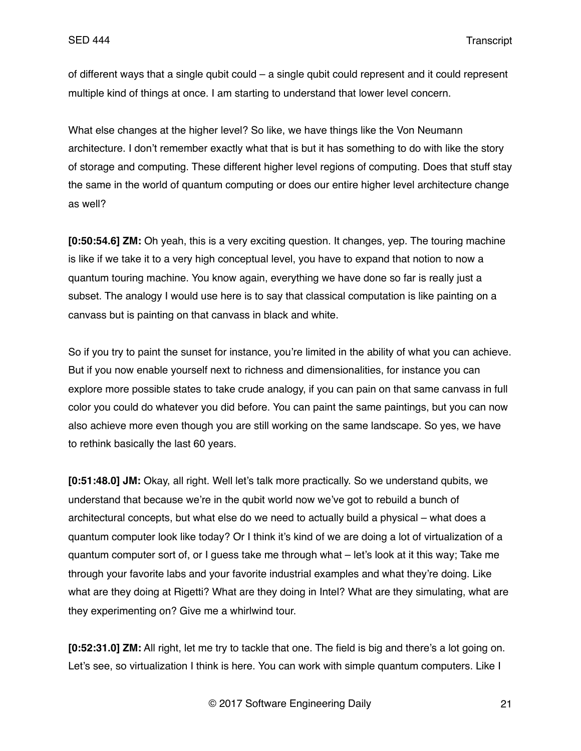of different ways that a single qubit could – a single qubit could represent and it could represent multiple kind of things at once. I am starting to understand that lower level concern.

What else changes at the higher level? So like, we have things like the Von Neumann architecture. I don't remember exactly what that is but it has something to do with like the story of storage and computing. These different higher level regions of computing. Does that stuff stay the same in the world of quantum computing or does our entire higher level architecture change as well?

**[0:50:54.6] ZM:** Oh yeah, this is a very exciting question. It changes, yep. The touring machine is like if we take it to a very high conceptual level, you have to expand that notion to now a quantum touring machine. You know again, everything we have done so far is really just a subset. The analogy I would use here is to say that classical computation is like painting on a canvass but is painting on that canvass in black and white.

So if you try to paint the sunset for instance, you're limited in the ability of what you can achieve. But if you now enable yourself next to richness and dimensionalities, for instance you can explore more possible states to take crude analogy, if you can pain on that same canvass in full color you could do whatever you did before. You can paint the same paintings, but you can now also achieve more even though you are still working on the same landscape. So yes, we have to rethink basically the last 60 years.

**[0:51:48.0] JM:** Okay, all right. Well let's talk more practically. So we understand qubits, we understand that because we're in the qubit world now we've got to rebuild a bunch of architectural concepts, but what else do we need to actually build a physical – what does a quantum computer look like today? Or I think it's kind of we are doing a lot of virtualization of a quantum computer sort of, or I guess take me through what – let's look at it this way; Take me through your favorite labs and your favorite industrial examples and what they're doing. Like what are they doing at Rigetti? What are they doing in Intel? What are they simulating, what are they experimenting on? Give me a whirlwind tour.

**[0:52:31.0] ZM:** All right, let me try to tackle that one. The field is big and there's a lot going on. Let's see, so virtualization I think is here. You can work with simple quantum computers. Like I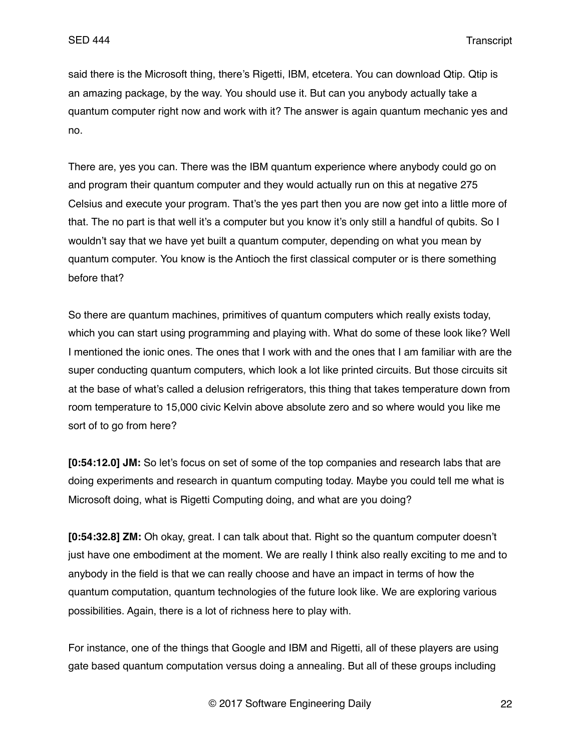said there is the Microsoft thing, there's Rigetti, IBM, etcetera. You can download Qtip. Qtip is an amazing package, by the way. You should use it. But can you anybody actually take a quantum computer right now and work with it? The answer is again quantum mechanic yes and no.

There are, yes you can. There was the IBM quantum experience where anybody could go on and program their quantum computer and they would actually run on this at negative 275 Celsius and execute your program. That's the yes part then you are now get into a little more of that. The no part is that well it's a computer but you know it's only still a handful of qubits. So I wouldn't say that we have yet built a quantum computer, depending on what you mean by quantum computer. You know is the Antioch the first classical computer or is there something before that?

So there are quantum machines, primitives of quantum computers which really exists today, which you can start using programming and playing with. What do some of these look like? Well I mentioned the ionic ones. The ones that I work with and the ones that I am familiar with are the super conducting quantum computers, which look a lot like printed circuits. But those circuits sit at the base of what's called a delusion refrigerators, this thing that takes temperature down from room temperature to 15,000 civic Kelvin above absolute zero and so where would you like me sort of to go from here?

**[0:54:12.0] JM:** So let's focus on set of some of the top companies and research labs that are doing experiments and research in quantum computing today. Maybe you could tell me what is Microsoft doing, what is Rigetti Computing doing, and what are you doing?

**[0:54:32.8] ZM:** Oh okay, great. I can talk about that. Right so the quantum computer doesn't just have one embodiment at the moment. We are really I think also really exciting to me and to anybody in the field is that we can really choose and have an impact in terms of how the quantum computation, quantum technologies of the future look like. We are exploring various possibilities. Again, there is a lot of richness here to play with.

For instance, one of the things that Google and IBM and Rigetti, all of these players are using gate based quantum computation versus doing a annealing. But all of these groups including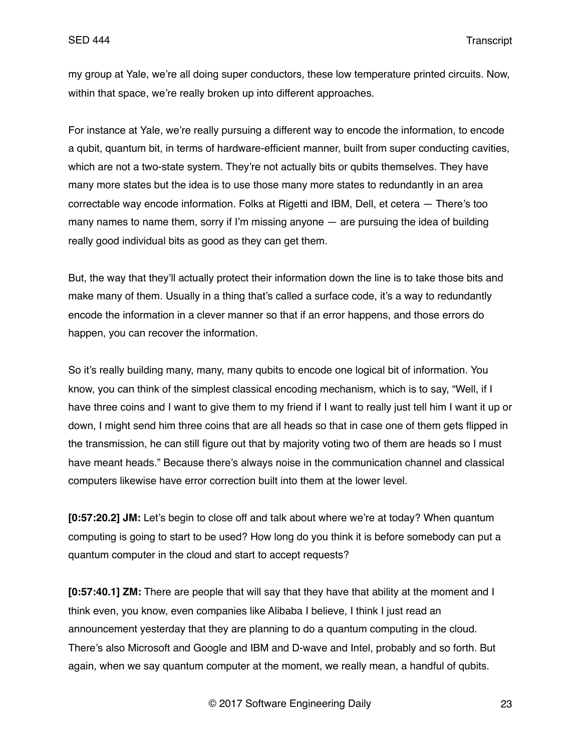my group at Yale, we're all doing super conductors, these low temperature printed circuits. Now, within that space, we're really broken up into different approaches.

For instance at Yale, we're really pursuing a different way to encode the information, to encode a qubit, quantum bit, in terms of hardware-efficient manner, built from super conducting cavities, which are not a two-state system. They're not actually bits or qubits themselves. They have many more states but the idea is to use those many more states to redundantly in an area correctable way encode information. Folks at Rigetti and IBM, Dell, et cetera — There's too many names to name them, sorry if I'm missing anyone — are pursuing the idea of building really good individual bits as good as they can get them.

But, the way that they'll actually protect their information down the line is to take those bits and make many of them. Usually in a thing that's called a surface code, it's a way to redundantly encode the information in a clever manner so that if an error happens, and those errors do happen, you can recover the information.

So it's really building many, many, many qubits to encode one logical bit of information. You know, you can think of the simplest classical encoding mechanism, which is to say, "Well, if I have three coins and I want to give them to my friend if I want to really just tell him I want it up or down, I might send him three coins that are all heads so that in case one of them gets flipped in the transmission, he can still figure out that by majority voting two of them are heads so I must have meant heads." Because there's always noise in the communication channel and classical computers likewise have error correction built into them at the lower level.

**[0:57:20.2] JM:** Let's begin to close off and talk about where we're at today? When quantum computing is going to start to be used? How long do you think it is before somebody can put a quantum computer in the cloud and start to accept requests?

**[0:57:40.1] ZM:** There are people that will say that they have that ability at the moment and I think even, you know, even companies like Alibaba I believe, I think I just read an announcement yesterday that they are planning to do a quantum computing in the cloud. There's also Microsoft and Google and IBM and D-wave and Intel, probably and so forth. But again, when we say quantum computer at the moment, we really mean, a handful of qubits.